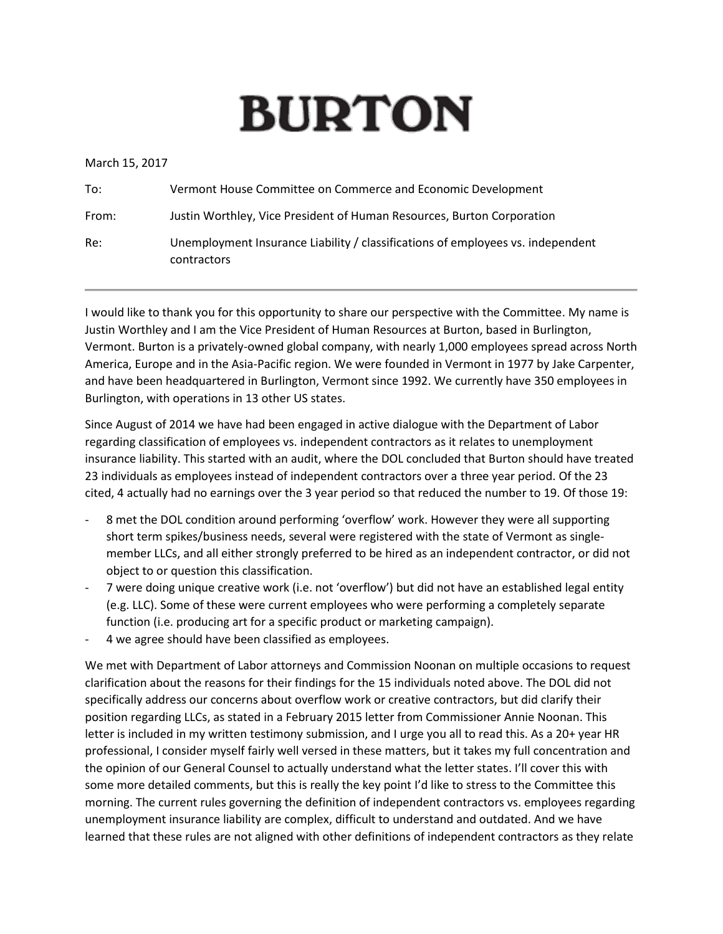## **BURTON**

March 15, 2017

| To:   | Vermont House Committee on Commerce and Economic Development                                   |
|-------|------------------------------------------------------------------------------------------------|
| From: | Justin Worthley, Vice President of Human Resources, Burton Corporation                         |
| Re:   | Unemployment Insurance Liability / classifications of employees vs. independent<br>contractors |

I would like to thank you for this opportunity to share our perspective with the Committee. My name is Justin Worthley and I am the Vice President of Human Resources at Burton, based in Burlington, Vermont. Burton is a privately-owned global company, with nearly 1,000 employees spread across North America, Europe and in the Asia-Pacific region. We were founded in Vermont in 1977 by Jake Carpenter, and have been headquartered in Burlington, Vermont since 1992. We currently have 350 employees in Burlington, with operations in 13 other US states.

Since August of 2014 we have had been engaged in active dialogue with the Department of Labor regarding classification of employees vs. independent contractors as it relates to unemployment insurance liability. This started with an audit, where the DOL concluded that Burton should have treated 23 individuals as employees instead of independent contractors over a three year period. Of the 23 cited, 4 actually had no earnings over the 3 year period so that reduced the number to 19. Of those 19:

- 8 met the DOL condition around performing 'overflow' work. However they were all supporting short term spikes/business needs, several were registered with the state of Vermont as singlemember LLCs, and all either strongly preferred to be hired as an independent contractor, or did not object to or question this classification.
- 7 were doing unique creative work (i.e. not 'overflow') but did not have an established legal entity (e.g. LLC). Some of these were current employees who were performing a completely separate function (i.e. producing art for a specific product or marketing campaign).
- 4 we agree should have been classified as employees.

We met with Department of Labor attorneys and Commission Noonan on multiple occasions to request clarification about the reasons for their findings for the 15 individuals noted above. The DOL did not specifically address our concerns about overflow work or creative contractors, but did clarify their position regarding LLCs, as stated in a February 2015 letter from Commissioner Annie Noonan. This letter is included in my written testimony submission, and I urge you all to read this. As a 20+ year HR professional, I consider myself fairly well versed in these matters, but it takes my full concentration and the opinion of our General Counsel to actually understand what the letter states. I'll cover this with some more detailed comments, but this is really the key point I'd like to stress to the Committee this morning. The current rules governing the definition of independent contractors vs. employees regarding unemployment insurance liability are complex, difficult to understand and outdated. And we have learned that these rules are not aligned with other definitions of independent contractors as they relate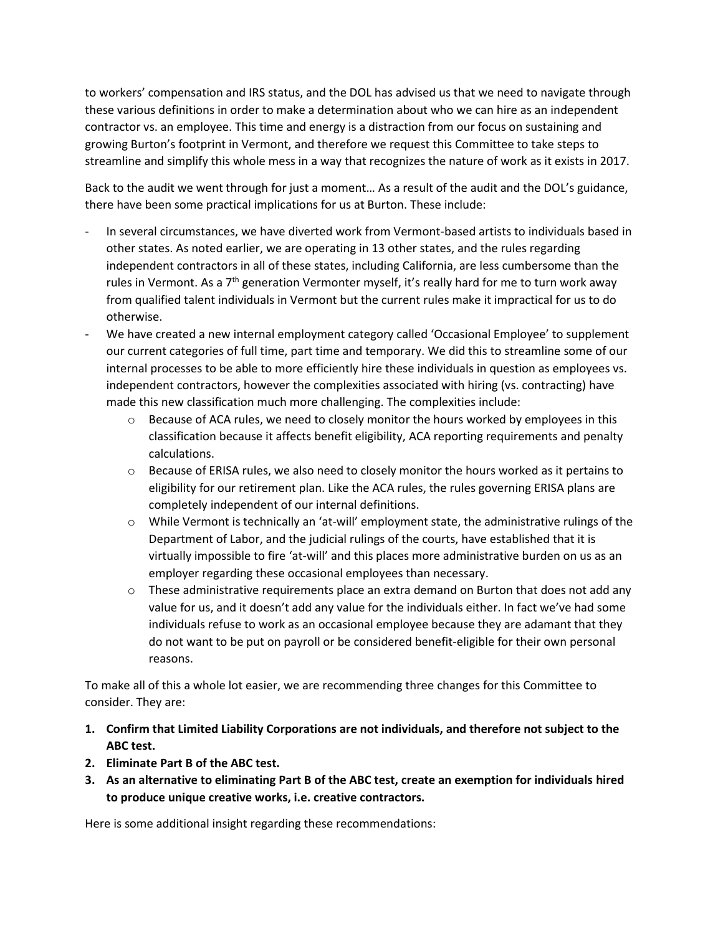to workers' compensation and IRS status, and the DOL has advised us that we need to navigate through these various definitions in order to make a determination about who we can hire as an independent contractor vs. an employee. This time and energy is a distraction from our focus on sustaining and growing Burton's footprint in Vermont, and therefore we request this Committee to take steps to streamline and simplify this whole mess in a way that recognizes the nature of work as it exists in 2017.

Back to the audit we went through for just a moment… As a result of the audit and the DOL's guidance, there have been some practical implications for us at Burton. These include:

- In several circumstances, we have diverted work from Vermont-based artists to individuals based in other states. As noted earlier, we are operating in 13 other states, and the rules regarding independent contractors in all of these states, including California, are less cumbersome than the rules in Vermont. As a  $7<sup>th</sup>$  generation Vermonter myself, it's really hard for me to turn work away from qualified talent individuals in Vermont but the current rules make it impractical for us to do otherwise.
- We have created a new internal employment category called 'Occasional Employee' to supplement our current categories of full time, part time and temporary. We did this to streamline some of our internal processes to be able to more efficiently hire these individuals in question as employees vs. independent contractors, however the complexities associated with hiring (vs. contracting) have made this new classification much more challenging. The complexities include:
	- $\circ$  Because of ACA rules, we need to closely monitor the hours worked by employees in this classification because it affects benefit eligibility, ACA reporting requirements and penalty calculations.
	- $\circ$  Because of ERISA rules, we also need to closely monitor the hours worked as it pertains to eligibility for our retirement plan. Like the ACA rules, the rules governing ERISA plans are completely independent of our internal definitions.
	- $\circ$  While Vermont is technically an 'at-will' employment state, the administrative rulings of the Department of Labor, and the judicial rulings of the courts, have established that it is virtually impossible to fire 'at-will' and this places more administrative burden on us as an employer regarding these occasional employees than necessary.
	- $\circ$  These administrative requirements place an extra demand on Burton that does not add any value for us, and it doesn't add any value for the individuals either. In fact we've had some individuals refuse to work as an occasional employee because they are adamant that they do not want to be put on payroll or be considered benefit-eligible for their own personal reasons.

To make all of this a whole lot easier, we are recommending three changes for this Committee to consider. They are:

- **1. Confirm that Limited Liability Corporations are not individuals, and therefore not subject to the ABC test.**
- **2. Eliminate Part B of the ABC test.**
- **3. As an alternative to eliminating Part B of the ABC test, create an exemption for individuals hired to produce unique creative works, i.e. creative contractors.**

Here is some additional insight regarding these recommendations: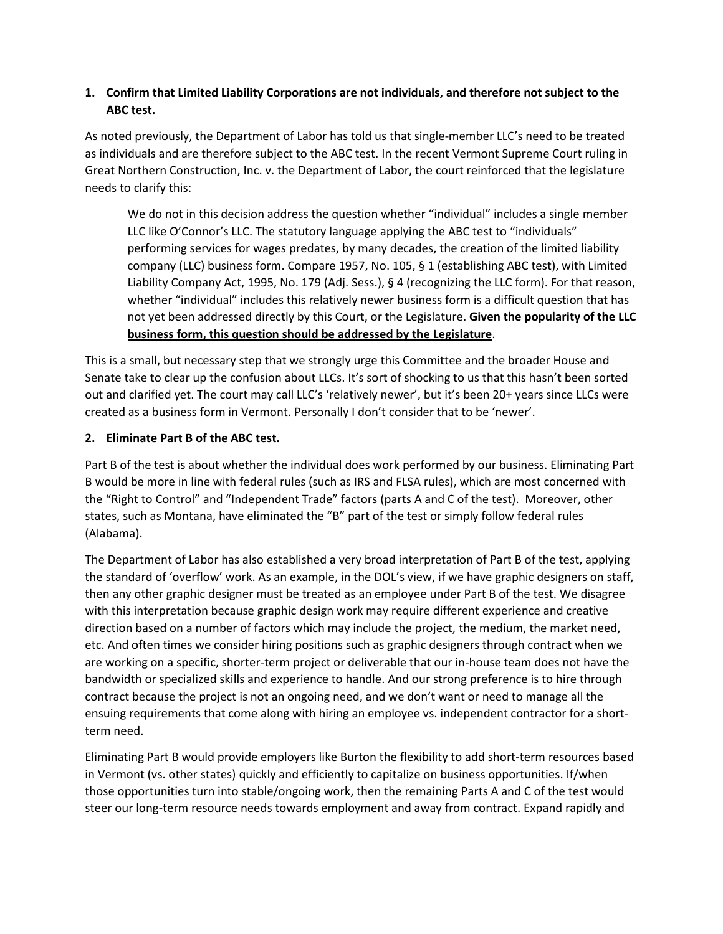## **1. Confirm that Limited Liability Corporations are not individuals, and therefore not subject to the ABC test.**

As noted previously, the Department of Labor has told us that single-member LLC's need to be treated as individuals and are therefore subject to the ABC test. In the recent Vermont Supreme Court ruling in Great Northern Construction, Inc. v. the Department of Labor, the court reinforced that the legislature needs to clarify this:

We do not in this decision address the question whether "individual" includes a single member LLC like O'Connor's LLC. The statutory language applying the ABC test to "individuals" performing services for wages predates, by many decades, the creation of the limited liability company (LLC) business form. Compare 1957, No. 105, § 1 (establishing ABC test), with Limited Liability Company Act, 1995, No. 179 (Adj. Sess.), § 4 (recognizing the LLC form). For that reason, whether "individual" includes this relatively newer business form is a difficult question that has not yet been addressed directly by this Court, or the Legislature. **Given the popularity of the LLC business form, this question should be addressed by the Legislature**.

This is a small, but necessary step that we strongly urge this Committee and the broader House and Senate take to clear up the confusion about LLCs. It's sort of shocking to us that this hasn't been sorted out and clarified yet. The court may call LLC's 'relatively newer', but it's been 20+ years since LLCs were created as a business form in Vermont. Personally I don't consider that to be 'newer'.

## **2. Eliminate Part B of the ABC test.**

Part B of the test is about whether the individual does work performed by our business. Eliminating Part B would be more in line with federal rules (such as IRS and FLSA rules), which are most concerned with the "Right to Control" and "Independent Trade" factors (parts A and C of the test). Moreover, other states, such as Montana, have eliminated the "B" part of the test or simply follow federal rules (Alabama).

The Department of Labor has also established a very broad interpretation of Part B of the test, applying the standard of 'overflow' work. As an example, in the DOL's view, if we have graphic designers on staff, then any other graphic designer must be treated as an employee under Part B of the test. We disagree with this interpretation because graphic design work may require different experience and creative direction based on a number of factors which may include the project, the medium, the market need, etc. And often times we consider hiring positions such as graphic designers through contract when we are working on a specific, shorter-term project or deliverable that our in-house team does not have the bandwidth or specialized skills and experience to handle. And our strong preference is to hire through contract because the project is not an ongoing need, and we don't want or need to manage all the ensuing requirements that come along with hiring an employee vs. independent contractor for a shortterm need.

Eliminating Part B would provide employers like Burton the flexibility to add short-term resources based in Vermont (vs. other states) quickly and efficiently to capitalize on business opportunities. If/when those opportunities turn into stable/ongoing work, then the remaining Parts A and C of the test would steer our long-term resource needs towards employment and away from contract. Expand rapidly and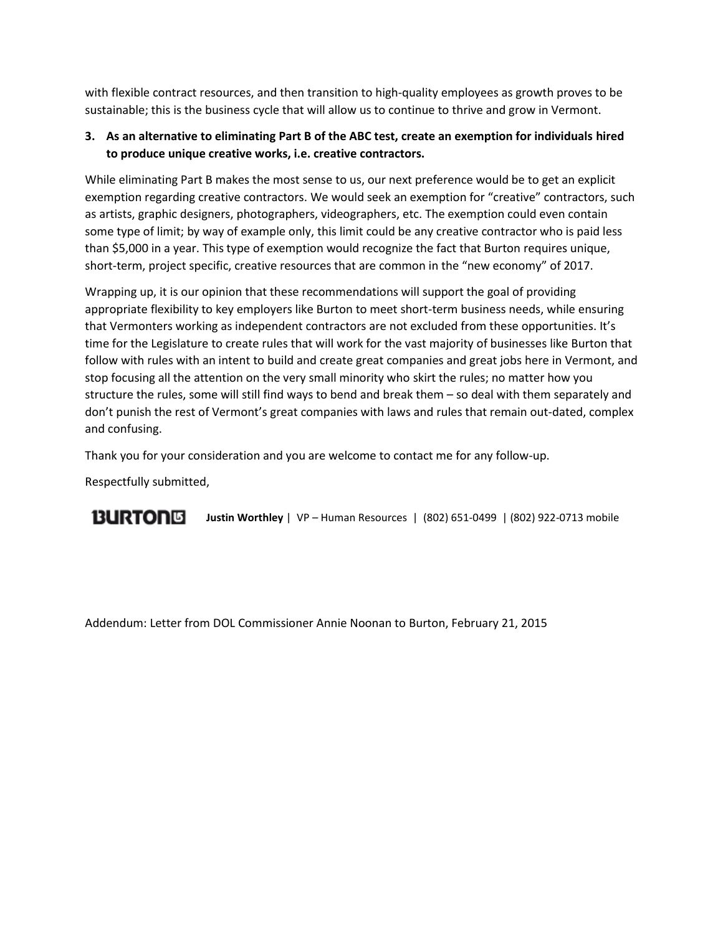with flexible contract resources, and then transition to high-quality employees as growth proves to be sustainable; this is the business cycle that will allow us to continue to thrive and grow in Vermont.

## **3. As an alternative to eliminating Part B of the ABC test, create an exemption for individuals hired to produce unique creative works, i.e. creative contractors.**

While eliminating Part B makes the most sense to us, our next preference would be to get an explicit exemption regarding creative contractors. We would seek an exemption for "creative" contractors, such as artists, graphic designers, photographers, videographers, etc. The exemption could even contain some type of limit; by way of example only, this limit could be any creative contractor who is paid less than \$5,000 in a year. This type of exemption would recognize the fact that Burton requires unique, short-term, project specific, creative resources that are common in the "new economy" of 2017.

Wrapping up, it is our opinion that these recommendations will support the goal of providing appropriate flexibility to key employers like Burton to meet short-term business needs, while ensuring that Vermonters working as independent contractors are not excluded from these opportunities. It's time for the Legislature to create rules that will work for the vast majority of businesses like Burton that follow with rules with an intent to build and create great companies and great jobs here in Vermont, and stop focusing all the attention on the very small minority who skirt the rules; no matter how you structure the rules, some will still find ways to bend and break them – so deal with them separately and don't punish the rest of Vermont's great companies with laws and rules that remain out-dated, complex and confusing.

Thank you for your consideration and you are welcome to contact me for any follow-up.

Respectfully submitted,

**BURTONG Justin Worthley** | VP – Human Resources | (802) 651-0499 | (802) 922-0713 mobile

Addendum: Letter from DOL Commissioner Annie Noonan to Burton, February 21, 2015